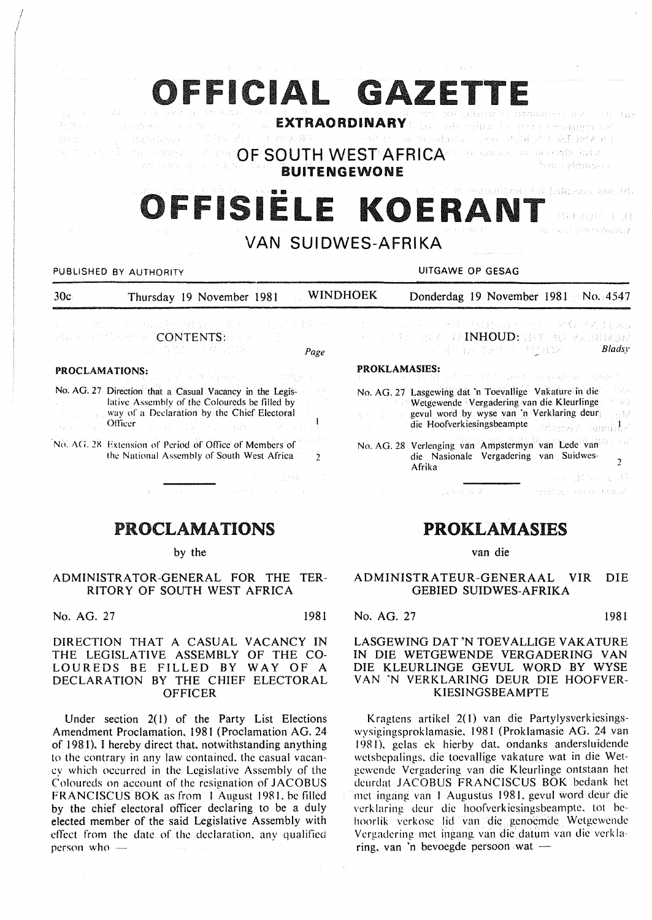

# FISIËLE KOER

**VAN SUIDWES-AFRIKA** 

### PUBLISHED BY AUTHORITY **AUTHORITY EXAMPLE 20 YO FEMALE ASSAULTS AND MELTICALLY ATTACK OF GESAG**

30c Thursday 19 November 1981 WINDHOEK Donderdag 19 November 1981 No. 4547

**CONTENTS:** 2002<br>2013: 2014: 1014: 102 Page

#### PROCLAMATIONS:

|  |  | No. AG. 27 Direction that a Casual Vacancy in the Legis-<br>lative Assembly of the Coloureds be filled by |                                                            |  |  |  |  |  |
|--|--|-----------------------------------------------------------------------------------------------------------|------------------------------------------------------------|--|--|--|--|--|
|  |  |                                                                                                           | way of a Declaration by the Chief Electoral                |  |  |  |  |  |
|  |  |                                                                                                           | <b>Officer Commercial Commercial Commercial Commercial</b> |  |  |  |  |  |
|  |  |                                                                                                           |                                                            |  |  |  |  |  |

No. AG. 28 Extension of Period of Office of Members of the National Assembly of South West Africa 2

PROCLAMATIONS

#### by the

# ADMINISTRATOR-GENERAL FOR THE TER-RITORY OF SOUTH WEST AFRICA

No. AG. 27 1981

# DIRECTION THAT A CASUAL VACANCY IN THE LEGISLATIVE ASSEMBLY OF THE CO-LOUREDS BE FILLED BY WAY OF A DECLARATION BY THE CHIEF ELECTORAL OFFICER

Under section  $2(1)$  of the Party List Elections Amendment Proclamation, 1981 (Proclamation AG. 24 of 1981), I hereby direct that, notwithstanding anything to the contrary in any law contained. the casual vacancy which occurred in the Legislative Assembly of the Coloureds on account of the resignation of JACOBUS FRANCISCUS BOK as from I August 1981. be filled by the chief electoral officer declaring to be a duly elected member of the said Legislative Assembly with effect from the date of the declaration. any qualified person who

年 代谢法国 一年 网络区姓耳米 INHOUD: THE PAREMENT 经国际公司经营经营管理 *Bladsy* 

#### PROKLAMASIES:

| PRUNLAMAƏILƏ:<br>THE COMMON SECTION AND THE RELEASED AND RELEASED ON THE RELEASED OF THE RELEASED OF THE CONTRACTOR OF THE CONTRACTOR |                                                                                                          |                   |  |  |  |  |  |
|---------------------------------------------------------------------------------------------------------------------------------------|----------------------------------------------------------------------------------------------------------|-------------------|--|--|--|--|--|
|                                                                                                                                       | No. AG. 27 Lasgewing dat 'n Toevallige Vakature in die<br>Wetgewende Vergadering van die Kleurlinge      | - fruitwe<br>经安全  |  |  |  |  |  |
|                                                                                                                                       | governor gevul word by wyse van 'n Verklaring deur general<br>die Hoofverkiesingsbeampte                 |                   |  |  |  |  |  |
|                                                                                                                                       | No. AG. 28 Verlenging van Ampstermyn van Lede van 20<br>die Nasionale Vergadering van Suidwes-<br>Afrika |                   |  |  |  |  |  |
|                                                                                                                                       |                                                                                                          | しゅうよう ほくたん しんこくぎん |  |  |  |  |  |
|                                                                                                                                       | 医肾上腺炎 医单位 医心包囊软骨切除术 精神                                                                                   |                   |  |  |  |  |  |

# PROKLAMASIES

#### van die

ADMINISTRATEUR-GENERAAL VIR DIE GEBIED SUIDWES-AFRIKA

No. AG. 27 1981

### LASGEWING OAT 'N TOEV ALLIGE V AKATURE IN DIE WETGEWENDE VERGADERING VAN DIE KLEURLINGE GEVUL WORD BY WYSE VAN 'N VERKLARING DEUR DIE HOOFVER-KIESINGSBEAMPTE

Kragtens artikel 2(1) van die Partylysverkiesingswysigingsproklamasie. 1981 (Proklamasie AG. 24 van 1981), gelas ek hierby dat, ondanks andersluidende wetsbepalings. die tocvallige vakature wat in die Wetgewende Vergadering van die Kleurlinge ontstaan hel deurdat JACOBUS FRANCISCUS BOK bedank het rnet ingang van I Augustus I 981, gevul word deur die verklaring dcur die hoofvcrkiesingsbeampte. Lot bchoorlik verkose lid van die genoemde Wetgewende Vergadering met ingang van die datum van die verklaring, van 'n bevoegde persoon wat -